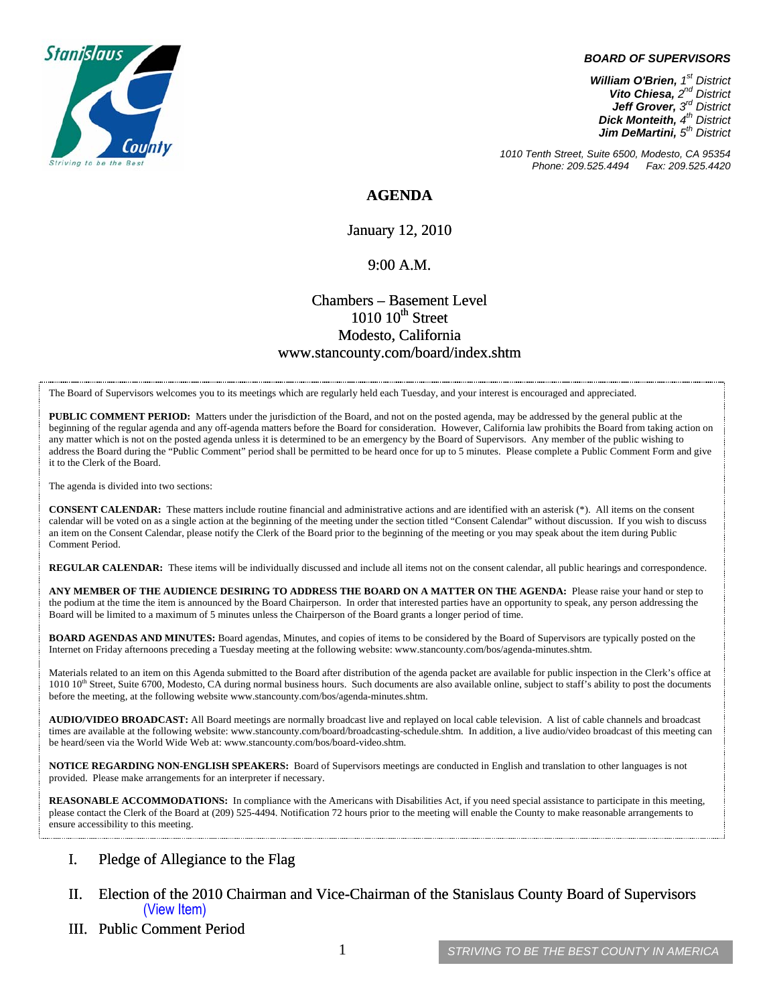

#### *BOARD OF SUPERVISORS*

*William O'Brien, 1st District Vito Chiesa, 2nd District Jeff Grover, 3rd District Dick Monteith, 4th District Jim DeMartini,*  $5<sup>th</sup>$  District

*1010 Tenth Street, Suite 6500, Modesto, CA 95354 Phone: 209.525.4494 Fax: 209.525.4420* 

**AGENDA** 

January 12, 2010

#### $9:00 A.M.$

### Chambers – Basement Level  $1010$   $10^{th}$  Street Modesto, California www.stancounty.com/board/index.shtm

The Board of Supervisors welcomes you to its meetings which are regularly held each Tuesday, and your interest is encouraged and appreciated.

**PUBLIC COMMENT PERIOD:** Matters under the jurisdiction of the Board, and not on the posted agenda, may be addressed by the general public at the beginning of the regular agenda and any off-agenda matters before the Board for consideration. However, California law prohibits the Board from taking action on any matter which is not on the posted agenda unless it is determined to be an emergency by the Board of Supervisors. Any member of the public wishing to address the Board during the "Public Comment" period shall be permitted to be heard once for up to 5 minutes. Please complete a Public Comment Form and give it to the Clerk of the Board.

The agenda is divided into two sections:

**CONSENT CALENDAR:** These matters include routine financial and administrative actions and are identified with an asterisk (\*). All items on the consent calendar will be voted on as a single action at the beginning of the meeting under the section titled "Consent Calendar" without discussion. If you wish to discuss an item on the Consent Calendar, please notify the Clerk of the Board prior to the beginning of the meeting or you may speak about the item during Public Comment Period.

**REGULAR CALENDAR:** These items will be individually discussed and include all items not on the consent calendar, all public hearings and correspondence.

**ANY MEMBER OF THE AUDIENCE DESIRING TO ADDRESS THE BOARD ON A MATTER ON THE AGENDA:** Please raise your hand or step to the podium at the time the item is announced by the Board Chairperson. In order that interested parties have an opportunity to speak, any person addressing the Board will be limited to a maximum of 5 minutes unless the Chairperson of the Board grants a longer period of time.

**BOARD AGENDAS AND MINUTES:** Board agendas, Minutes, and copies of items to be considered by the Board of Supervisors are typically posted on the Internet on Friday afternoons preceding a Tuesday meeting at the following website: www.stancounty.com/bos/agenda-minutes.shtm.

Materials related to an item on this Agenda submitted to the Board after distribution of the agenda packet are available for public inspection in the Clerk's office at 1010 10<sup>th</sup> Street, Suite 6700, Modesto, CA during normal business hours. Such documents are also available online, subject to staff's ability to post the documents before the meeting, at the following website www.stancounty.com/bos/agenda-minutes.shtm.

**AUDIO/VIDEO BROADCAST:** All Board meetings are normally broadcast live and replayed on local cable television. A list of cable channels and broadcast times are available at the following website: www.stancounty.com/board/broadcasting-schedule.shtm. In addition, a live audio/video broadcast of this meeting can be heard/seen via the World Wide Web at: www.stancounty.com/bos/board-video.shtm.

**NOTICE REGARDING NON-ENGLISH SPEAKERS:** Board of Supervisors meetings are conducted in English and translation to other languages is not provided. Please make arrangements for an interpreter if necessary.

REASONABLE ACCOMMODATIONS: In compliance with the Americans with Disabilities Act, if you need special assistance to participate in this meeting, please contact the Clerk of the Board at (209) 525-4494. Notification 72 hours prior to the meeting will enable the County to make reasonable arrangements to ensure accessibility to this meeting.

#### I. Pledge of Allegiance to the Flag

- II. Election of the 2010 Chairman and Vice-Chairman of the Stanislaus County Board of Supervisors (View Item)
- III. Public Comment Period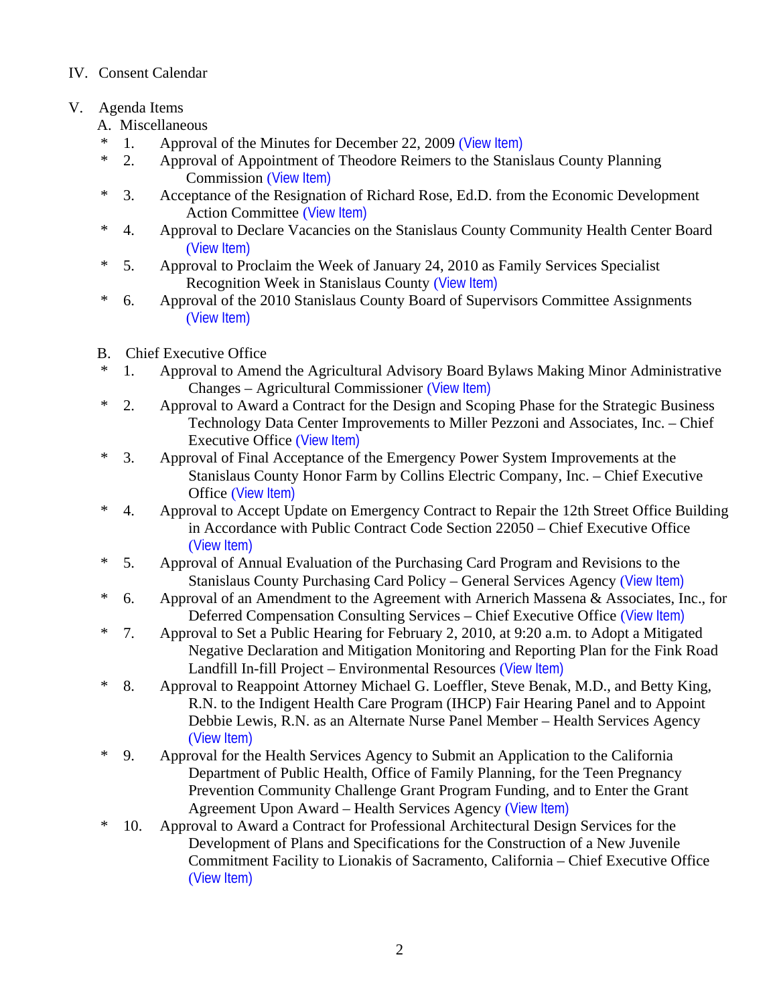## IV. Consent Calendar

# V. Agenda Items

- A. Miscellaneous
- \* 1. Approval of the Minutes for December 22, 2009 ([View Item\)](http://www.stancounty.com/bos/minutes/2009/min12-22-09.pdf)
- \* 2. Approval of Appointment of Theodore Reimers to the Stanislaus County Planning Commission ([View Item\)](http://www.stancounty.com/bos/agenda/2010/20100112/A02.pdf)
- \* 3. Acceptance of the Resignation of Richard Rose, Ed.D. from the Economic Development Action Committee ([View Item\)](http://www.stancounty.com/bos/agenda/2010/20100112/A03.pdf)
- \* 4. Approval to Declare Vacancies on the Stanislaus County Community Health Center Board ([View Item\)](http://www.stancounty.com/bos/agenda/2010/20100112/A04.pdf)
- \* 5. Approval to Proclaim the Week of January 24, 2010 as Family Services Specialist Recognition Week in Stanislaus County ([View Item\)](http://www.stancounty.com/bos/agenda/2010/20100112/A05.pdf)
- \* 6. Approval of the 2010 Stanislaus County Board of Supervisors Committee Assignments ([View Item\)](http://www.stancounty.com/bos/agenda/2010/20100112/A06.pdf)
- B. Chief Executive Office
- \* 1. Approval to Amend the Agricultural Advisory Board Bylaws Making Minor Administrative Changes – Agricultural Commissioner ([View Item\)](http://www.stancounty.com/bos/agenda/2010/20100112/B01.pdf)
- \* 2. Approval to Award a Contract for the Design and Scoping Phase for the Strategic Business Technology Data Center Improvements to Miller Pezzoni and Associates, Inc. – Chief Executive Office ([View Item\)](http://www.stancounty.com/bos/agenda/2010/20100112/B02.pdf)
- \* 3. Approval of Final Acceptance of the Emergency Power System Improvements at the Stanislaus County Honor Farm by Collins Electric Company, Inc. – Chief Executive Office ([View Item\)](http://www.stancounty.com/bos/agenda/2010/20100112/B03.pdf)
- \* 4. Approval to Accept Update on Emergency Contract to Repair the 12th Street Office Building in Accordance with Public Contract Code Section 22050 – Chief Executive Office ([View Item\)](http://www.stancounty.com/bos/agenda/2010/20100112/B04.pdf)
- \* 5. Approval of Annual Evaluation of the Purchasing Card Program and Revisions to the Stanislaus County Purchasing Card Policy – General Services Agency ([View Item\)](http://www.stancounty.com/bos/agenda/2010/20100112/B05.pdf)
- \* 6. Approval of an Amendment to the Agreement with Arnerich Massena & Associates, Inc., for Deferred Compensation Consulting Services – Chief Executive Office ([View Item\)](http://www.stancounty.com/bos/agenda/2010/20100112/B06.pdf)
- \* 7. Approval to Set a Public Hearing for February 2, 2010, at 9:20 a.m. to Adopt a Mitigated Negative Declaration and Mitigation Monitoring and Reporting Plan for the Fink Road Landfill In-fill Project – Environmental Resources ([View Item\)](http://www.stancounty.com/bos/agenda/2010/20100112/B07.pdf)
- \* 8. Approval to Reappoint Attorney Michael G. Loeffler, Steve Benak, M.D., and Betty King, R.N. to the Indigent Health Care Program (IHCP) Fair Hearing Panel and to Appoint Debbie Lewis, R.N. as an Alternate Nurse Panel Member – Health Services Agency ([View Item\)](http://www.stancounty.com/bos/agenda/2010/20100112/B08.pdf)
- \* 9. Approval for the Health Services Agency to Submit an Application to the California Department of Public Health, Office of Family Planning, for the Teen Pregnancy Prevention Community Challenge Grant Program Funding, and to Enter the Grant Agreement Upon Award – Health Services Agency ([View Item\)](http://www.stancounty.com/bos/agenda/2010/20100112/B09.pdf)
- \* 10. Approval to Award a Contract for Professional Architectural Design Services for the Development of Plans and Specifications for the Construction of a New Juvenile Commitment Facility to Lionakis of Sacramento, California – Chief Executive Office ([View Item\)](http://www.stancounty.com/bos/agenda/2010/20100112/B10.pdf)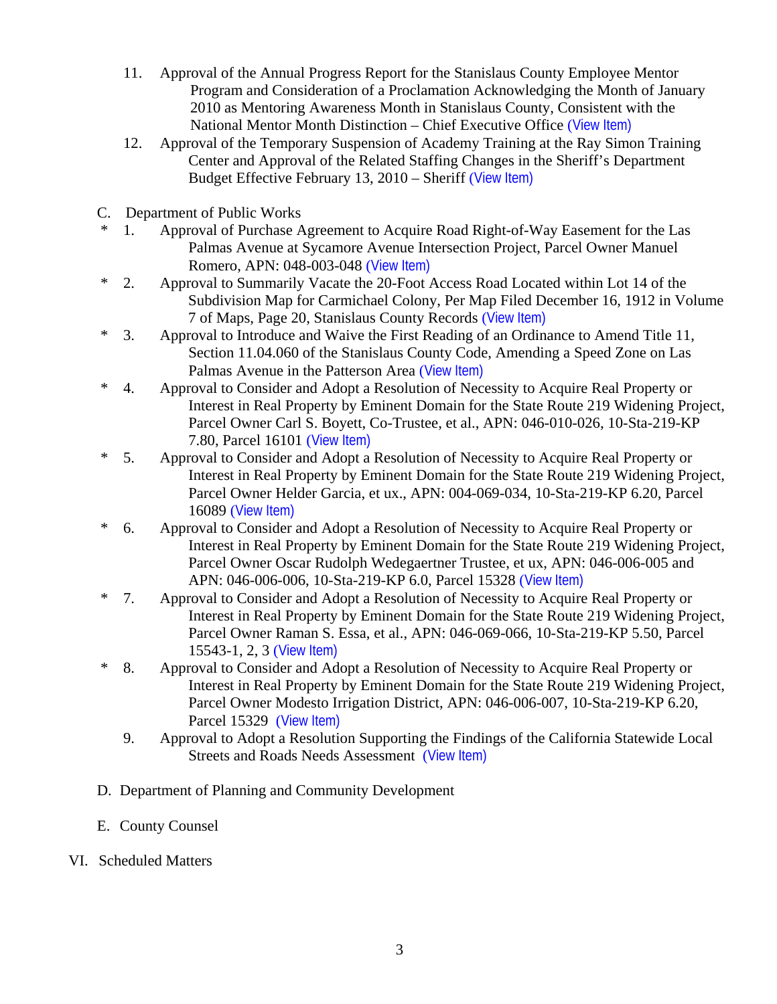- 11. Approval of the Annual Progress Report for the Stanislaus County Employee Mentor Program and Consideration of a Proclamation Acknowledging the Month of January 2010 as Mentoring Awareness Month in Stanislaus County, Consistent with the National Mentor Month Distinction – Chief Executive Office ([View Item\)](http://www.stancounty.com/bos/agenda/2010/20100112/B11.pdf)
- 12. Approval of the Temporary Suspension of Academy Training at the Ray Simon Training Center and Approval of the Related Staffing Changes in the Sheriff's Department Budget Effective February 13, 2010 – Sheriff ([View Item\)](http://www.stancounty.com/bos/agenda/2010/20100112/B12.pdf)
- C. Department of Public Works
- \* 1. Approval of Purchase Agreement to Acquire Road Right-of-Way Easement for the Las Palmas Avenue at Sycamore Avenue Intersection Project, Parcel Owner Manuel Romero, APN: 048-003-048 ([View Item\)](http://www.stancounty.com/bos/agenda/2010/20100112/C01.pdf)
- \* 2. Approval to Summarily Vacate the 20-Foot Access Road Located within Lot 14 of the Subdivision Map for Carmichael Colony, Per Map Filed December 16, 1912 in Volume 7 of Maps, Page 20, Stanislaus County Records ([View Item\)](http://www.stancounty.com/bos/agenda/2010/20100112/C02.pdf)
- \* 3. Approval to Introduce and Waive the First Reading of an Ordinance to Amend Title 11, Section 11.04.060 of the Stanislaus County Code, Amending a Speed Zone on Las Palmas Avenue in the Patterson Area ([View Item\)](http://www.stancounty.com/bos/agenda/2010/20100112/C03.pdf)
- \* 4. Approval to Consider and Adopt a Resolution of Necessity to Acquire Real Property or Interest in Real Property by Eminent Domain for the State Route 219 Widening Project, Parcel Owner Carl S. Boyett, Co-Trustee, et al., APN: 046-010-026, 10-Sta-219-KP 7.80, Parcel 16101 ([View Item\)](http://www.stancounty.com/bos/agenda/2010/20100112/C04.pdf)
- \* 5. Approval to Consider and Adopt a Resolution of Necessity to Acquire Real Property or Interest in Real Property by Eminent Domain for the State Route 219 Widening Project, Parcel Owner Helder Garcia, et ux., APN: 004-069-034, 10-Sta-219-KP 6.20, Parcel 16089 ([View Item\)](http://www.stancounty.com/bos/agenda/2010/20100112/C05.pdf)
- \* 6. Approval to Consider and Adopt a Resolution of Necessity to Acquire Real Property or Interest in Real Property by Eminent Domain for the State Route 219 Widening Project, Parcel Owner Oscar Rudolph Wedegaertner Trustee, et ux, APN: 046-006-005 and APN: 046-006-006, 10-Sta-219-KP 6.0, Parcel 15328 ([View Item\)](http://www.stancounty.com/bos/agenda/2010/20100112/C06.pdf)
- \* 7. Approval to Consider and Adopt a Resolution of Necessity to Acquire Real Property or Interest in Real Property by Eminent Domain for the State Route 219 Widening Project, Parcel Owner Raman S. Essa, et al., APN: 046-069-066, 10-Sta-219-KP 5.50, Parcel 15543-1, 2, 3 ([View Item\)](http://www.stancounty.com/bos/agenda/2010/20100112/C07.pdf)
- \* 8. Approval to Consider and Adopt a Resolution of Necessity to Acquire Real Property or Interest in Real Property by Eminent Domain for the State Route 219 Widening Project, Parcel Owner Modesto Irrigation District, APN: 046-006-007, 10-Sta-219-KP 6.20, Parcel 15329 ([View Item\)](http://www.stancounty.com/bos/agenda/2010/20100112/C08.pdf)
	- 9. Approval to Adopt a Resolution Supporting the Findings of the California Statewide Local Streets and Roads Needs Assessment ([View Item\)](http://www.stancounty.com/bos/agenda/2010/20100112/C09.pdf)
- D. Department of Planning and Community Development
- E. County Counsel
- VI. Scheduled Matters